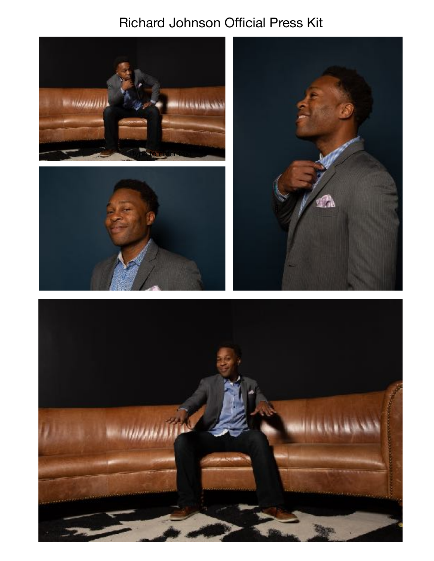## **Richard Johnson Official Press Kit**







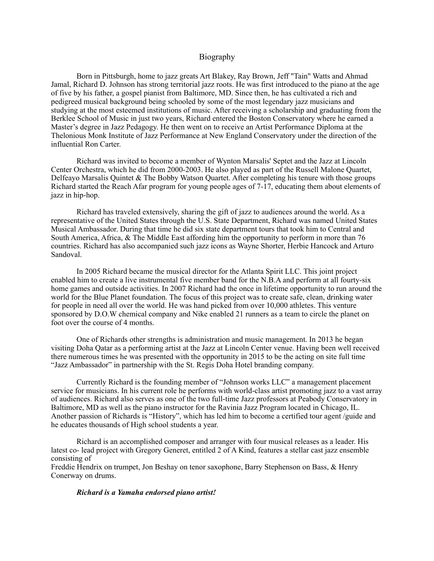## Biography

Born in Pittsburgh, home to jazz greats Art Blakey, Ray Brown, Jeff "Tain" Watts and Ahmad Jamal, Richard D. Johnson has strong territorial jazz roots. He was first introduced to the piano at the age of five by his father, a gospel pianist from Baltimore, MD. Since then, he has cultivated a rich and pedigreed musical background being schooled by some of the most legendary jazz musicians and studying at the most esteemed institutions of music. After receiving a scholarship and graduating from the Berklee School of Music in just two years, Richard entered the Boston Conservatory where he earned a Master's degree in Jazz Pedagogy. He then went on to receive an Artist Performance Diploma at the Thelonious Monk Institute of Jazz Performance at New England Conservatory under the direction of the influential Ron Carter.

Richard was invited to become a member of Wynton Marsalis' Septet and the Jazz at Lincoln Center Orchestra, which he did from 2000-2003. He also played as part of the Russell Malone Quartet, Delfeayo Marsalis Quintet & The Bobby Watson Quartet. After completing his tenure with those groups Richard started the Reach Afar program for young people ages of 7-17, educating them about elements of jazz in hip-hop.

Richard has traveled extensively, sharing the gift of jazz to audiences around the world. As a representative of the United States through the U.S. State Department, Richard was named United States Musical Ambassador. During that time he did six state department tours that took him to Central and South America, Africa, & The Middle East affording him the opportunity to perform in more than 76 countries. Richard has also accompanied such jazz icons as Wayne Shorter, Herbie Hancock and Arturo Sandoval.

In 2005 Richard became the musical director for the Atlanta Spirit LLC. This joint project enabled him to create a live instrumental five member band for the N.B.A and perform at all fourty-six home games and outside activities. In 2007 Richard had the once in lifetime opportunity to run around the world for the Blue Planet foundation. The focus of this project was to create safe, clean, drinking water for people in need all over the world. He was hand picked from over 10,000 athletes. This venture sponsored by D.O.W chemical company and Nike enabled 21 runners as a team to circle the planet on foot over the course of 4 months.

One of Richards other strengths is administration and music management. In 2013 he began visiting Doha Qatar as a performing artist at the Jazz at Lincoln Center venue. Having been well received there numerous times he was presented with the opportunity in 2015 to be the acting on site full time "Jazz Ambassador" in partnership with the St. Regis Doha Hotel branding company.

Currently Richard is the founding member of "Johnson works LLC" a management placement service for musicians. In his current role he performs with world-class artist promoting jazz to a vast array of audiences. Richard also serves as one of the two full-time Jazz professors at Peabody Conservatory in Baltimore, MD as well as the piano instructor for the Ravinia Jazz Program located in Chicago, IL. Another passion of Richards is "History", which has led him to become a certified tour agent /guide and he educates thousands of High school students a year.

Richard is an accomplished composer and arranger with four musical releases as a leader. His latest co- lead project with Gregory Generet, entitled 2 of A Kind, features a stellar cast jazz ensemble consisting of

Freddie Hendrix on trumpet, Jon Beshay on tenor saxophone, Barry Stephenson on Bass, & Henry Conerway on drums.

## *Richard is a Yamaha endorsed piano artist!*